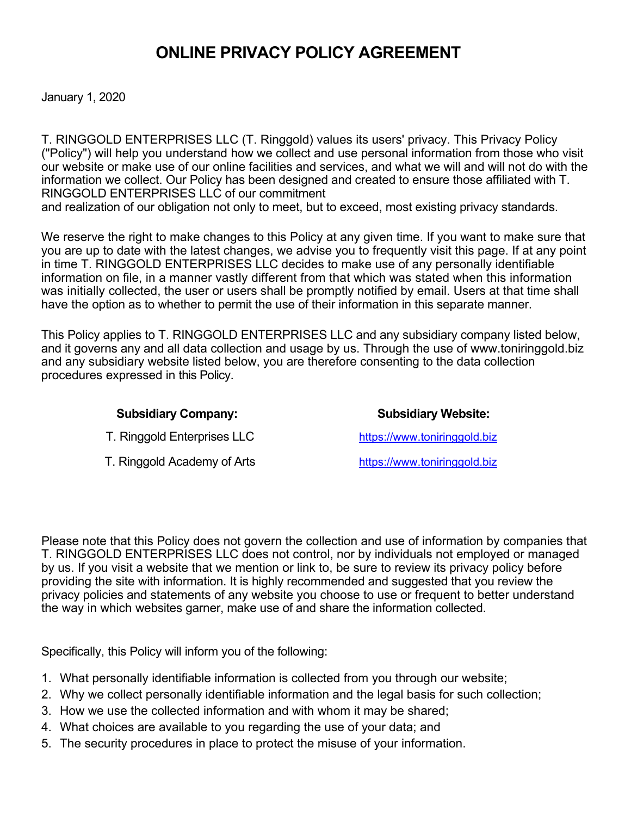# **ONLINE PRIVACY POLICY AGREEMENT**

January 1, 2020

T. RINGGOLD ENTERPRISES LLC (T. Ringgold) values its users' privacy. This Privacy Policy ("Policy") will help you understand how we collect and use personal information from those who visit our website or make use of our online facilities and services, and what we will and will not do with the information we collect. Our Policy has been designed and created to ensure those affiliated with T. RINGGOLD ENTERPRISES LLC of our commitment

and realization of our obligation not only to meet, but to exceed, most existing privacy standards.

We reserve the right to make changes to this Policy at any given time. If you want to make sure that you are up to date with the latest changes, we advise you to frequently visit this page. If at any point in time T. RINGGOLD ENTERPRISES LLC decides to make use of any personally identifiable information on file, in a manner vastly different from that which was stated when this information was initially collected, the user or users shall be promptly notified by email. Users at that time shall have the option as to whether to permit the use of their information in this separate manner.

This Policy applies to T. RINGGOLD ENTERPRISES LLC and any subsidiary company listed below, and it governs any and all data collection and usage by us. Through the use of www.toniringgold.biz and any subsidiary website listed below, you are therefore consenting to the data collection procedures expressed in this Policy.

| <b>Subsidiary Company:</b>  | <b>Subsidiary Website:</b>   |
|-----------------------------|------------------------------|
| T. Ringgold Enterprises LLC | https://www.toniringgold.biz |
| T. Ringgold Academy of Arts | https://www.toniringgold.biz |

Please note that this Policy does not govern the collection and use of information by companies that T. RINGGOLD ENTERPRISES LLC does not control, nor by individuals not employed or managed by us. If you visit a website that we mention or link to, be sure to review its privacy policy before providing the site with information. It is highly recommended and suggested that you review the privacy policies and statements of any website you choose to use or frequent to better understand the way in which websites garner, make use of and share the information collected.

Specifically, this Policy will inform you of the following:

- 1. What personally identifiable information is collected from you through our website;
- 2. Why we collect personally identifiable information and the legal basis for such collection;
- 3. How we use the collected information and with whom it may be shared;
- 4. What choices are available to you regarding the use of your data; and
- 5. The security procedures in place to protect the misuse of your information.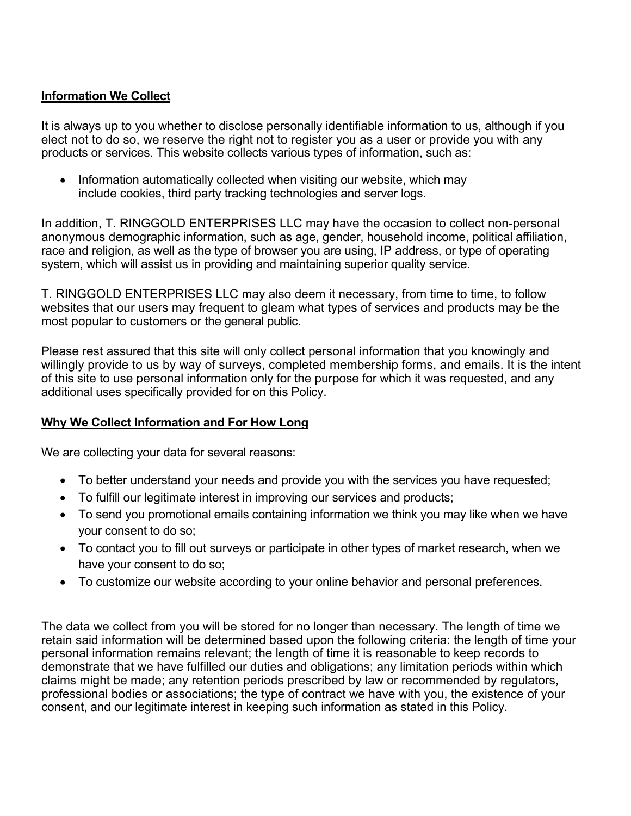## **Information We Collect**

It is always up to you whether to disclose personally identifiable information to us, although if you elect not to do so, we reserve the right not to register you as a user or provide you with any products or services. This website collects various types of information, such as:

• Information automatically collected when visiting our website, which may include cookies, third party tracking technologies and server logs.

In addition, T. RINGGOLD ENTERPRISES LLC may have the occasion to collect non-personal anonymous demographic information, such as age, gender, household income, political affiliation, race and religion, as well as the type of browser you are using, IP address, or type of operating system, which will assist us in providing and maintaining superior quality service.

T. RINGGOLD ENTERPRISES LLC may also deem it necessary, from time to time, to follow websites that our users may frequent to gleam what types of services and products may be the most popular to customers or the general public.

Please rest assured that this site will only collect personal information that you knowingly and willingly provide to us by way of surveys, completed membership forms, and emails. It is the intent of this site to use personal information only for the purpose for which it was requested, and any additional uses specifically provided for on this Policy.

# **Why We Collect Information and For How Long**

We are collecting your data for several reasons:

- To better understand your needs and provide you with the services you have requested;
- To fulfill our legitimate interest in improving our services and products;
- To send you promotional emails containing information we think you may like when we have your consent to do so;
- To contact you to fill out surveys or participate in other types of market research, when we have your consent to do so;
- To customize our website according to your online behavior and personal preferences.

The data we collect from you will be stored for no longer than necessary. The length of time we retain said information will be determined based upon the following criteria: the length of time your personal information remains relevant; the length of time it is reasonable to keep records to demonstrate that we have fulfilled our duties and obligations; any limitation periods within which claims might be made; any retention periods prescribed by law or recommended by regulators, professional bodies or associations; the type of contract we have with you, the existence of your consent, and our legitimate interest in keeping such information as stated in this Policy.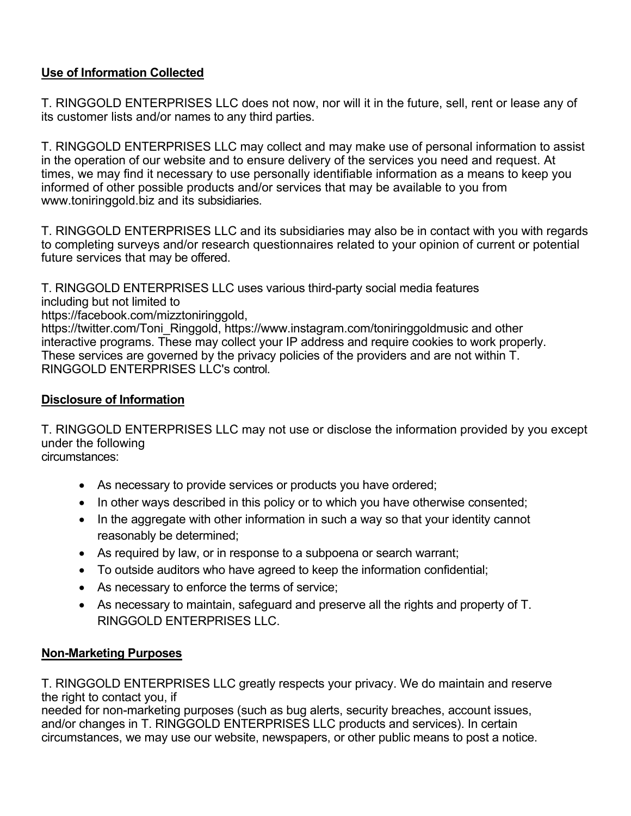# **Use of Information Collected**

T. RINGGOLD ENTERPRISES LLC does not now, nor will it in the future, sell, rent or lease any of its customer lists and/or names to any third parties.

T. RINGGOLD ENTERPRISES LLC may collect and may make use of personal information to assist in the operation of our website and to ensure delivery of the services you need and request. At times, we may find it necessary to use personally identifiable information as a means to keep you informed of other possible products and/or services that may be available to you from www.toniringgold.biz and its subsidiaries.

T. RINGGOLD ENTERPRISES LLC and its subsidiaries may also be in contact with you with regards to completing surveys and/or research questionnaires related to your opinion of current or potential future services that may be offered.

T. RINGGOLD ENTERPRISES LLC uses various third-party social media features including but not limited to https://facebook.com/mizztoniringgold,

https://twitter.com/Toni\_Ringgold, https://www.instagram.com/toniringgoldmusic and other interactive programs. These may collect your IP address and require cookies to work properly. These services are governed by the privacy policies of the providers and are not within T. RINGGOLD ENTERPRISES LLC's control.

# **Disclosure of Information**

T. RINGGOLD ENTERPRISES LLC may not use or disclose the information provided by you except under the following circumstances:

- As necessary to provide services or products you have ordered;
- In other ways described in this policy or to which you have otherwise consented;
- In the aggregate with other information in such a way so that your identity cannot reasonably be determined;
- As required by law, or in response to a subpoena or search warrant;
- To outside auditors who have agreed to keep the information confidential;
- As necessary to enforce the terms of service;
- As necessary to maintain, safeguard and preserve all the rights and property of T. RINGGOLD ENTERPRISES LLC.

#### **Non-Marketing Purposes**

T. RINGGOLD ENTERPRISES LLC greatly respects your privacy. We do maintain and reserve the right to contact you, if

needed for non-marketing purposes (such as bug alerts, security breaches, account issues, and/or changes in T. RINGGOLD ENTERPRISES LLC products and services). In certain circumstances, we may use our website, newspapers, or other public means to post a notice.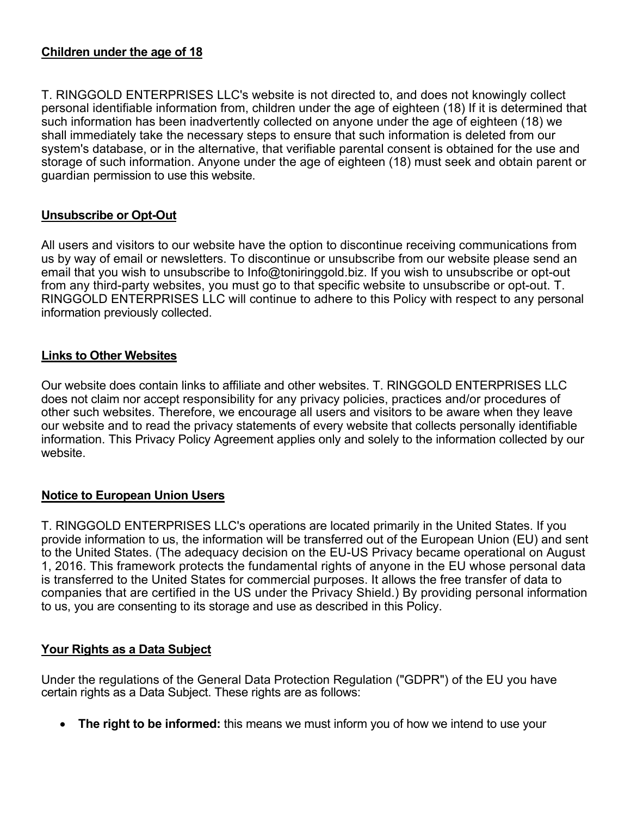#### **Children under the age of 18**

T. RINGGOLD ENTERPRISES LLC's website is not directed to, and does not knowingly collect personal identifiable information from, children under the age of eighteen (18) If it is determined that such information has been inadvertently collected on anyone under the age of eighteen (18) we shall immediately take the necessary steps to ensure that such information is deleted from our system's database, or in the alternative, that verifiable parental consent is obtained for the use and storage of such information. Anyone under the age of eighteen (18) must seek and obtain parent or guardian permission to use this website.

## **Unsubscribe or Opt-Out**

All users and visitors to our website have the option to discontinue receiving communications from us by way of email or newsletters. To discontinue or unsubscribe from our website please send an email that you wish to unsubscribe to Info@toniringgold.biz. If you wish to unsubscribe or opt-out from any third-party websites, you must go to that specific website to unsubscribe or opt-out. T. RINGGOLD ENTERPRISES LLC will continue to adhere to this Policy with respect to any personal information previously collected.

## **Links to Other Websites**

Our website does contain links to affiliate and other websites. T. RINGGOLD ENTERPRISES LLC does not claim nor accept responsibility for any privacy policies, practices and/or procedures of other such websites. Therefore, we encourage all users and visitors to be aware when they leave our website and to read the privacy statements of every website that collects personally identifiable information. This Privacy Policy Agreement applies only and solely to the information collected by our website.

#### **Notice to European Union Users**

T. RINGGOLD ENTERPRISES LLC's operations are located primarily in the United States. If you provide information to us, the information will be transferred out of the European Union (EU) and sent to the United States. (The adequacy decision on the EU-US Privacy became operational on August 1, 2016. This framework protects the fundamental rights of anyone in the EU whose personal data is transferred to the United States for commercial purposes. It allows the free transfer of data to companies that are certified in the US under the Privacy Shield.) By providing personal information to us, you are consenting to its storage and use as described in this Policy.

#### **Your Rights as a Data Subject**

Under the regulations of the General Data Protection Regulation ("GDPR") of the EU you have certain rights as a Data Subject. These rights are as follows:

• **The right to be informed:** this means we must inform you of how we intend to use your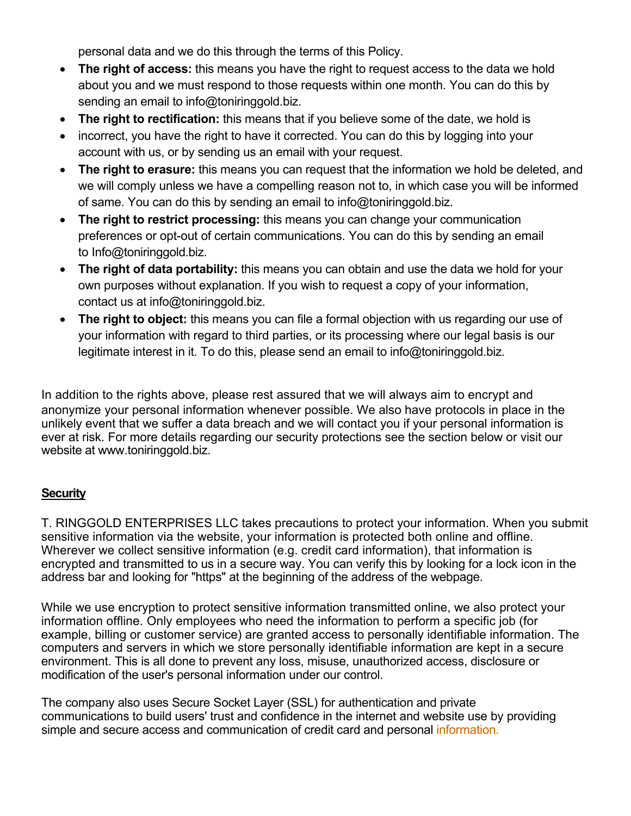personal data and we do this through the terms of this Policy.

- **The right of access:** this means you have the right to request access to the data we hold about you and we must respond to those requests within one month. You can do this by sending an email to info@toniringgold.biz.
- **The right to rectification:** this means that if you believe some of the date, we hold is
- incorrect, you have the right to have it corrected. You can do this by logging into your account with us, or by sending us an email with your request.
- **The right to erasure:** this means you can request that the information we hold be deleted, and we will comply unless we have a compelling reason not to, in which case you will be informed of same. You can do this by sending an email to info@toniringgold.biz.
- **The right to restrict processing:** this means you can change your communication preferences or opt-out of certain communications. You can do this by sending an email to Info@toniringgold.biz.
- **The right of data portability:** this means you can obtain and use the data we hold for your own purposes without explanation. If you wish to request a copy of your information, contact us at info@toniringgold.biz.
- **The right to object:** this means you can file a formal objection with us regarding our use of your information with regard to third parties, or its processing where our legal basis is our legitimate interest in it. To do this, please send an email to info@toniringgold.biz.

In addition to the rights above, please rest assured that we will always aim to encrypt and anonymize your personal information whenever possible. We also have protocols in place in the unlikely event that we suffer a data breach and we will contact you if your personal information is ever at risk. For more details regarding our security protections see the section below or visit our website at www.toniringgold.biz.

# **Security**

T. RINGGOLD ENTERPRISES LLC takes precautions to protect your information. When you submit sensitive information via the website, your information is protected both online and offline. Wherever we collect sensitive information (e.g. credit card information), that information is encrypted and transmitted to us in a secure way. You can verify this by looking for a lock icon in the address bar and looking for "https" at the beginning of the address of the webpage.

While we use encryption to protect sensitive information transmitted online, we also protect your information offline. Only employees who need the information to perform a specific job (for example, billing or customer service) are granted access to personally identifiable information. The computers and servers in which we store personally identifiable information are kept in a secure environment. This is all done to prevent any loss, misuse, unauthorized access, disclosure or modification of the user's personal information under our control.

The company also uses Secure Socket Layer (SSL) for authentication and private communications to build users' trust and confidence in the internet and website use by providing simple and secure access and communication of credit card and personal information.